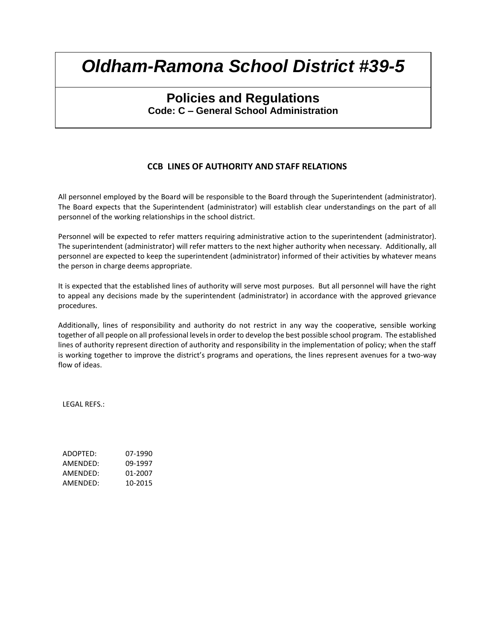## **Policies and Regulations Code: C – General School Administration**

### **CCB LINES OF AUTHORITY AND STAFF RELATIONS**

All personnel employed by the Board will be responsible to the Board through the Superintendent (administrator). The Board expects that the Superintendent (administrator) will establish clear understandings on the part of all personnel of the working relationships in the school district.

Personnel will be expected to refer matters requiring administrative action to the superintendent (administrator). The superintendent (administrator) will refer matters to the next higher authority when necessary. Additionally, all personnel are expected to keep the superintendent (administrator) informed of their activities by whatever means the person in charge deems appropriate.

It is expected that the established lines of authority will serve most purposes. But all personnel will have the right to appeal any decisions made by the superintendent (administrator) in accordance with the approved grievance procedures.

Additionally, lines of responsibility and authority do not restrict in any way the cooperative, sensible working together of all people on all professional levels in order to develop the best possible school program. The established lines of authority represent direction of authority and responsibility in the implementation of policy; when the staff is working together to improve the district's programs and operations, the lines represent avenues for a two-way flow of ideas.

LEGAL REFS.:

ADOPTED: 07-1990 AMENDED: 09-1997 AMENDED: 01-2007 AMENDED: 10-2015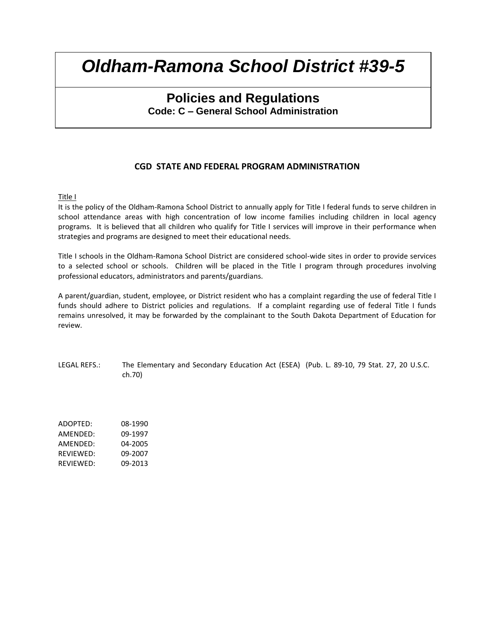## **Policies and Regulations Code: C – General School Administration**

### **CGD STATE AND FEDERAL PROGRAM ADMINISTRATION**

#### Title I

It is the policy of the Oldham-Ramona School District to annually apply for Title I federal funds to serve children in school attendance areas with high concentration of low income families including children in local agency programs. It is believed that all children who qualify for Title I services will improve in their performance when strategies and programs are designed to meet their educational needs.

Title I schools in the Oldham-Ramona School District are considered school-wide sites in order to provide services to a selected school or schools. Children will be placed in the Title I program through procedures involving professional educators, administrators and parents/guardians.

A parent/guardian, student, employee, or District resident who has a complaint regarding the use of federal Title I funds should adhere to District policies and regulations. If a complaint regarding use of federal Title I funds remains unresolved, it may be forwarded by the complainant to the South Dakota Department of Education for review.

LEGAL REFS.: The Elementary and Secondary Education Act (ESEA) (Pub. L. 89-10, 79 Stat. 27, 20 U.S.C. ch.70)

ADOPTED: 08-1990 AMENDED: 09-1997 AMENDED: 04-2005 REVIEWED: 09-2007 REVIEWED: 09-2013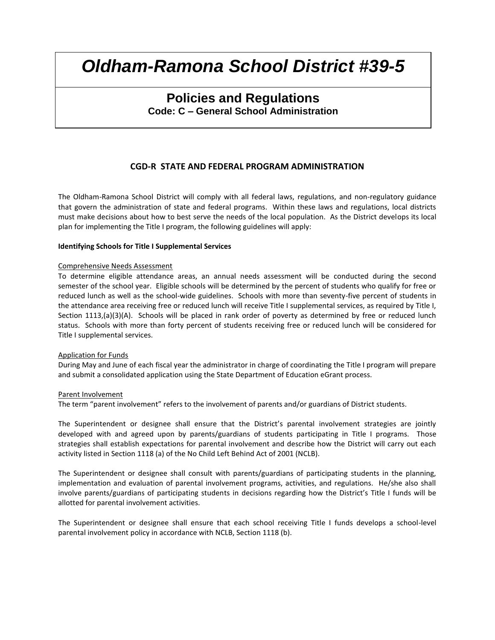## **Policies and Regulations Code: C – General School Administration**

### **CGD-R STATE AND FEDERAL PROGRAM ADMINISTRATION**

The Oldham-Ramona School District will comply with all federal laws, regulations, and non-regulatory guidance that govern the administration of state and federal programs. Within these laws and regulations, local districts must make decisions about how to best serve the needs of the local population. As the District develops its local plan for implementing the Title I program, the following guidelines will apply:

#### **Identifying Schools for Title I Supplemental Services**

#### Comprehensive Needs Assessment

To determine eligible attendance areas, an annual needs assessment will be conducted during the second semester of the school year. Eligible schools will be determined by the percent of students who qualify for free or reduced lunch as well as the school-wide guidelines. Schools with more than seventy-five percent of students in the attendance area receiving free or reduced lunch will receive Title I supplemental services, as required by Title I, Section 1113,(a)(3)(A). Schools will be placed in rank order of poverty as determined by free or reduced lunch status. Schools with more than forty percent of students receiving free or reduced lunch will be considered for Title I supplemental services.

#### Application for Funds

During May and June of each fiscal year the administrator in charge of coordinating the Title I program will prepare and submit a consolidated application using the State Department of Education eGrant process.

#### Parent Involvement

The term "parent involvement" refers to the involvement of parents and/or guardians of District students.

The Superintendent or designee shall ensure that the District's parental involvement strategies are jointly developed with and agreed upon by parents/guardians of students participating in Title I programs. Those strategies shall establish expectations for parental involvement and describe how the District will carry out each activity listed in Section 1118 (a) of the No Child Left Behind Act of 2001 (NCLB).

The Superintendent or designee shall consult with parents/guardians of participating students in the planning, implementation and evaluation of parental involvement programs, activities, and regulations. He/she also shall involve parents/guardians of participating students in decisions regarding how the District's Title I funds will be allotted for parental involvement activities.

The Superintendent or designee shall ensure that each school receiving Title I funds develops a school-level parental involvement policy in accordance with NCLB, Section 1118 (b).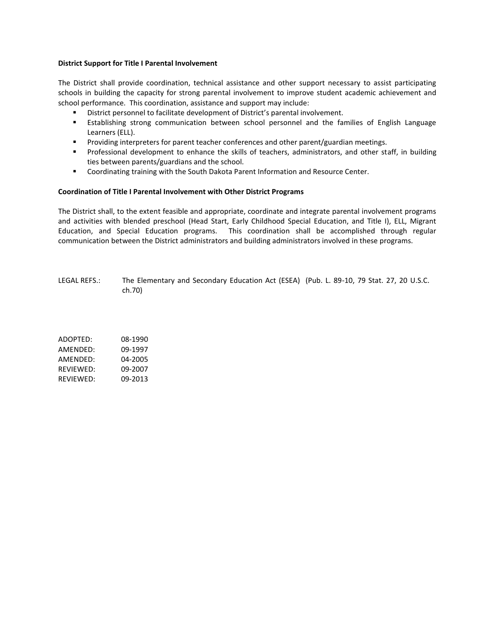#### **District Support for Title I Parental Involvement**

The District shall provide coordination, technical assistance and other support necessary to assist participating schools in building the capacity for strong parental involvement to improve student academic achievement and school performance. This coordination, assistance and support may include:

- District personnel to facilitate development of District's parental involvement.
- Establishing strong communication between school personnel and the families of English Language Learners (ELL).
- **Providing interpreters for parent teacher conferences and other parent/guardian meetings.**
- **Professional development to enhance the skills of teachers, administrators, and other staff, in building** ties between parents/guardians and the school.
- Coordinating training with the South Dakota Parent Information and Resource Center.

#### **Coordination of Title I Parental Involvement with Other District Programs**

The District shall, to the extent feasible and appropriate, coordinate and integrate parental involvement programs and activities with blended preschool (Head Start, Early Childhood Special Education, and Title I), ELL, Migrant Education, and Special Education programs. This coordination shall be accomplished through regular communication between the District administrators and building administrators involved in these programs.

LEGAL REFS.: The Elementary and Secondary Education Act (ESEA) (Pub. L. 89-10, 79 Stat. 27, 20 U.S.C. ch.70)

ADOPTED: 08-1990 AMENDED: 09-1997 AMENDED: 04-2005 REVIEWED: 09-2007 REVIEWED: 09-2013